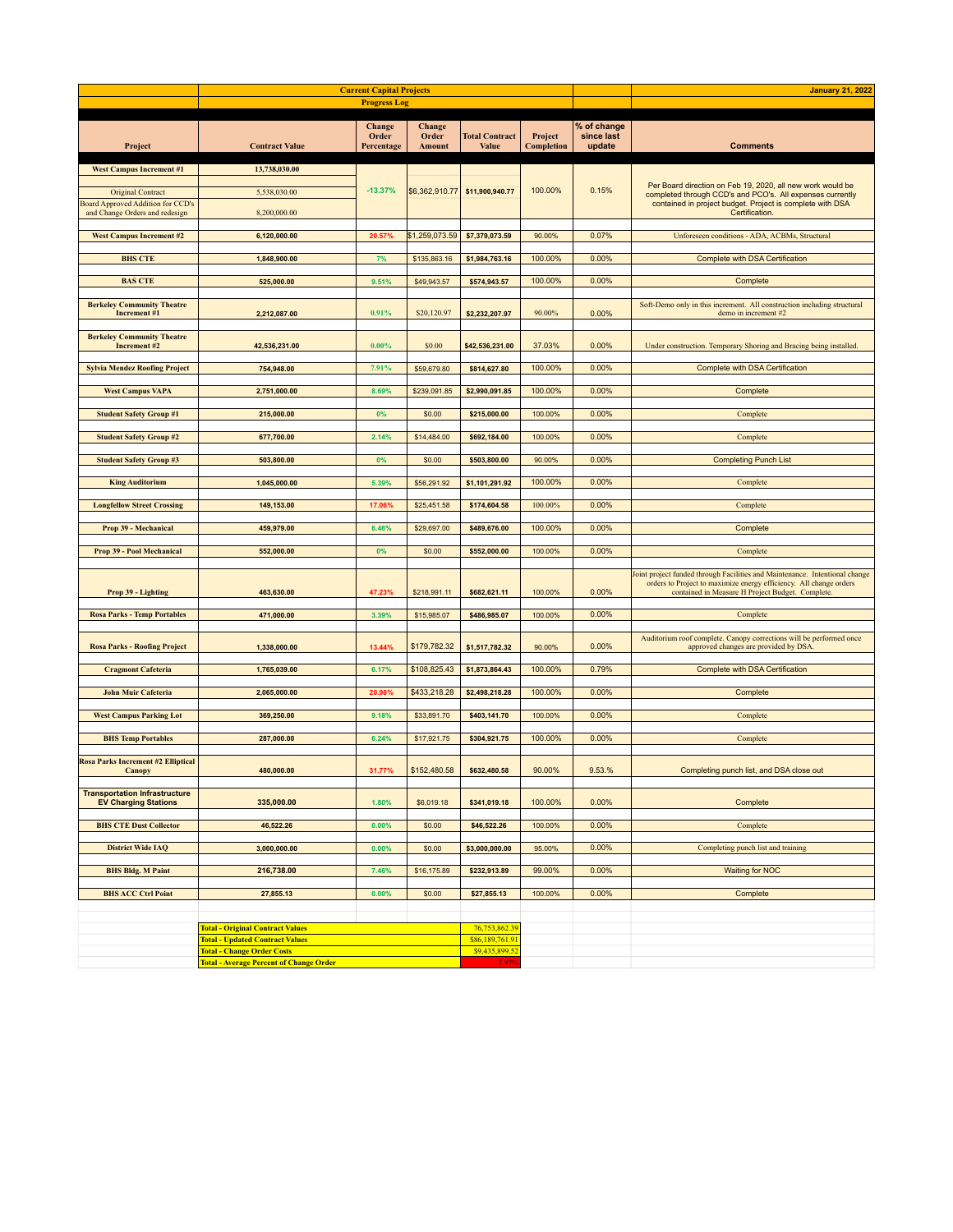|                                                                            |                                                                                                                        | <b>Current Capital Projects</b> |                                                    |                                       | <b>January 21, 2022</b>      |                                     |                                                                                                                                                                                                       |
|----------------------------------------------------------------------------|------------------------------------------------------------------------------------------------------------------------|---------------------------------|----------------------------------------------------|---------------------------------------|------------------------------|-------------------------------------|-------------------------------------------------------------------------------------------------------------------------------------------------------------------------------------------------------|
|                                                                            |                                                                                                                        | <b>Progress Log</b>             |                                                    |                                       |                              |                                     |                                                                                                                                                                                                       |
| Project                                                                    | <b>Contract Value</b>                                                                                                  | Change<br>Order<br>Percentage   | <b>Change</b><br>Order<br>Amount                   | <b>Total Contract</b><br><b>Value</b> | Project<br><b>Completion</b> | % of change<br>since last<br>update | <b>Comments</b>                                                                                                                                                                                       |
| <b>West Campus Increment #1</b><br><b>Original Contract</b>                | 13,738,030.00<br>5,538,030.00                                                                                          | $-13.37%$                       | \$6,362,910.77]                                    | \$11,900,940.77                       | 100.00%                      | 0.15%                               | Per Board direction on Feb 19, 2020, all new work would be<br>completed through CCD's and PCO's. All expenses currently                                                                               |
| <b>Board Approved Addition for CCD's</b><br>and Change Orders and redesign | 8,200,000.00                                                                                                           |                                 |                                                    |                                       |                              |                                     | contained in project budget. Project is complete with DSA<br>Certification.                                                                                                                           |
| <b>West Campus Increment #2</b>                                            | 6,120,000.00                                                                                                           | 20.57%                          | \$1,259,073.59                                     | \$7,379,073.59                        | 90.00%                       | 0.07%                               | Unforeseen conditions - ADA, ACBMs, Structural                                                                                                                                                        |
| <b>BHS CTE</b>                                                             | 1,848,900.00                                                                                                           | 7%                              | \$135,863.16                                       | \$1,984,763.16                        | 100.00%                      | 0.00%                               | <b>Complete with DSA Certification</b>                                                                                                                                                                |
| <b>BAS CTE</b>                                                             | 525,000.00                                                                                                             | 9.51%                           | \$49,943.57                                        | \$574,943.57                          | 100.00%                      | 0.00%                               | Complete                                                                                                                                                                                              |
| <b>Berkeley Community Theatre</b><br>Increment #1                          | 2,212,087.00                                                                                                           | 0.91%                           | \$20,120.97                                        | \$2,232,207.97                        | 90.00%                       | 0.00%                               | Soft-Demo only in this increment. All construction including structural<br>demo in increment #2                                                                                                       |
| <b>Berkeley Community Theatre</b><br>Increment #2                          | 42,536,231.00                                                                                                          | $0.00\%$                        | \$0.00                                             | \$42,536,231.00                       | 37.03%                       | 0.00%                               | Under construction. Temporary Shoring and Bracing being installed.                                                                                                                                    |
| <b>Sylvia Mendez Roofing Project</b>                                       | 754,948.00                                                                                                             | 7.91%                           | \$59,679.80                                        | \$814,627.80                          | 100.00%                      | 0.00%                               | Complete with DSA Certification                                                                                                                                                                       |
| <b>West Campus VAPA</b>                                                    | 2,751,000.00                                                                                                           | 8.69%                           | \$239,091.85                                       | \$2,990,091.85                        | 100.00%                      | 0.00%                               | Complete                                                                                                                                                                                              |
| <b>Student Safety Group #1</b>                                             | 215,000.00                                                                                                             | 0%                              | \$0.00                                             | \$215,000.00                          | 100.00%                      | 0.00%                               | Complete                                                                                                                                                                                              |
| <b>Student Safety Group #2</b>                                             | 677,700.00                                                                                                             | 2.14%                           | \$14,484.00                                        | \$692,184.00                          | 100.00%                      | 0.00%                               | Complete                                                                                                                                                                                              |
| <b>Student Safety Group #3</b>                                             | 503,800.00                                                                                                             | 0%                              | \$0.00                                             | \$503,800.00                          | 90.00%                       | 0.00%                               | <b>Completing Punch List</b>                                                                                                                                                                          |
| <b>King Auditorium</b>                                                     | 1,045,000.00                                                                                                           | 5.39%                           | \$56,291.92                                        | \$1,101,291.92                        | 100.00%                      | 0.00%                               | Complete                                                                                                                                                                                              |
| <b>Longfellow Street Crossing</b>                                          | 149,153.00                                                                                                             | 17.06%                          | \$25,451.58                                        | \$174,604.58                          | 100.00%                      | 0.00%                               | Complete                                                                                                                                                                                              |
| Prop 39 - Mechanical                                                       | 459,979.00                                                                                                             | 6.46%                           | \$29,697.00                                        | \$489,676.00                          | 100.00%                      | 0.00%                               | Complete                                                                                                                                                                                              |
| Prop 39 - Pool Mechanical                                                  | 552,000.00                                                                                                             | 0%                              | \$0.00                                             | \$552,000.00                          | 100.00%                      | 0.00%                               | Complete                                                                                                                                                                                              |
| Prop 39 - Lighting                                                         | 463,630.00                                                                                                             | 47.23%                          | \$218,991.11                                       | \$682,621.11                          | 100.00%                      | 0.00%                               | Joint project funded through Facilities and Maintenance. Intentional change<br>orders to Project to maximize energy efficiency. All change orders<br>contained in Measure H Project Budget. Complete. |
| <b>Rosa Parks - Temp Portables</b>                                         | 471,000.00                                                                                                             | 3.39%                           | \$15,985.07                                        | \$486,985.07                          | 100.00%                      | 0.00%                               | Complete                                                                                                                                                                                              |
| <b>Rosa Parks - Roofing Project</b>                                        | 1,338,000.00                                                                                                           | 13.44%                          | \$179,782.32                                       | \$1,517,782.32                        | 90.00%                       | 0.00%                               | Auditorium roof complete. Canopy corrections will be performed once<br>approved changes are provided by DSA.                                                                                          |
| <b>Cragmont Cafeteria</b>                                                  | 1,765,039.00                                                                                                           | 6.17%                           | \$108,825.43                                       | \$1,873,864.43                        | 100.00%                      | 0.79%                               | <b>Complete with DSA Certification</b>                                                                                                                                                                |
| <b>John Muir Cafeteria</b>                                                 | 2,065,000.00                                                                                                           | 20.98%                          | \$433,218.28                                       | \$2,498,218.28                        | 100.00%                      | 0.00%                               | Complete                                                                                                                                                                                              |
| <b>West Campus Parking Lot</b>                                             | 369,250.00                                                                                                             | 9.18%                           | \$33,891.70                                        | \$403,141.70                          | 100.00%                      | 0.00%                               | Complete                                                                                                                                                                                              |
| <b>BHS Temp Portables</b>                                                  | 287,000.00                                                                                                             | 6.24%                           | \$17,921.75                                        | \$304,921.75                          | 100.00%                      | 0.00%                               | Complete                                                                                                                                                                                              |
| <b>Rosa Parks Increment #2 Elliptical</b><br>Canopy                        | 480,000.00                                                                                                             | 31.77%                          | \$152,480.58                                       | \$632,480.58                          | 90.00%                       | 9.53.%                              | Completing punch list, and DSA close out                                                                                                                                                              |
| <b>Transportation Infrastructure</b><br><b>EV Charging Stations</b>        | 335,000.00                                                                                                             | 1.80%                           | \$6,019.18                                         | \$341,019.18                          | 100.00%                      | 0.00%                               | Complete                                                                                                                                                                                              |
| <b>BHS CTE Dust Collector</b>                                              | 46,522.26                                                                                                              | 0.00%                           | \$0.00                                             | \$46,522.26                           | 100.00%                      | 0.00%                               | Complete                                                                                                                                                                                              |
| <b>District Wide IAQ</b>                                                   | 3,000,000.00                                                                                                           | 0.00%                           | \$0.00                                             | \$3,000,000.00                        | 95.00%                       | 0.00%                               | Completing punch list and training                                                                                                                                                                    |
| <b>BHS Bldg. M Paint</b>                                                   | 216,738.00                                                                                                             | 7.46%                           | \$16,175.89                                        | \$232,913.89                          | 99.00%                       | 0.00%                               | <b>Waiting for NOC</b>                                                                                                                                                                                |
| <b>BHS ACC Ctrl Point</b>                                                  | 27,855.13                                                                                                              | 0.00%                           | \$0.00                                             | \$27,855.13                           | 100.00%                      | 0.00%                               | Complete                                                                                                                                                                                              |
|                                                                            |                                                                                                                        |                                 |                                                    |                                       |                              |                                     |                                                                                                                                                                                                       |
|                                                                            | <b>Total - Original Contract Values</b><br><b>Total - Updated Contract Values</b><br><b>Total - Change Order Costs</b> |                                 | 76,753,862.39<br>\$86,189,761.91<br>\$9,435,899.52 |                                       |                              |                                     |                                                                                                                                                                                                       |
|                                                                            | <b>Total - Average Percent of Change Order</b>                                                                         |                                 |                                                    | 7.87%                                 |                              |                                     |                                                                                                                                                                                                       |